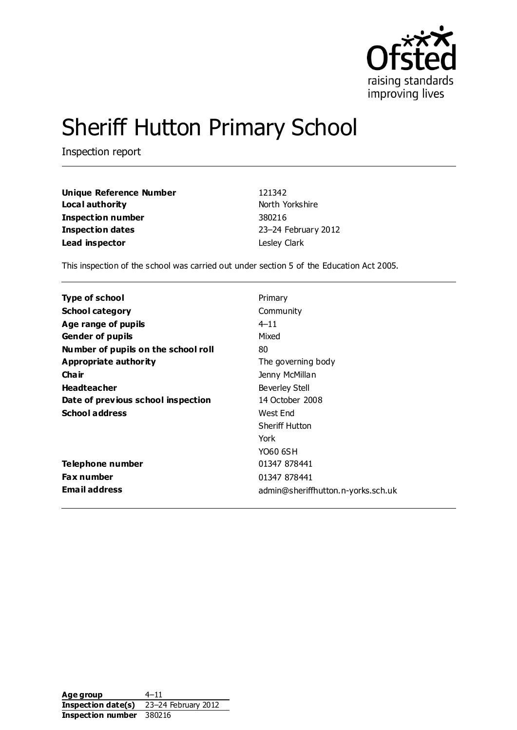

# Sheriff Hutton Primary School

Inspection report

| <b>Unique Reference Number</b> | 121342              |
|--------------------------------|---------------------|
| Local authority                | North Yorkshire     |
| Inspection number              | 380216              |
| Inspection dates               | 23-24 February 2012 |
| Lead inspector                 | Lesley Clark        |

This inspection of the school was carried out under section 5 of the Education Act 2005.

| Type of school                      | Primary                            |
|-------------------------------------|------------------------------------|
| <b>School category</b>              | Community                          |
| Age range of pupils                 | $4 - 11$                           |
| <b>Gender of pupils</b>             | Mixed                              |
| Number of pupils on the school roll | 80                                 |
| Appropriate authority               | The governing body                 |
| Cha ir                              | Jenny McMillan                     |
| <b>Headteacher</b>                  | <b>Beverley Stell</b>              |
| Date of previous school inspection  | 14 October 2008                    |
| <b>School address</b>               | West End                           |
|                                     | <b>Sheriff Hutton</b>              |
|                                     | York                               |
|                                     | YO60 6SH                           |
| Telephone number                    | 01347 878441                       |
| <b>Fax number</b>                   | 01347 878441                       |
| <b>Email address</b>                | admin@sheriffhutton.n-yorks.sch.uk |

Age group 4–11 **Inspection date(s)** 23–24 February 2012 **Inspection number** 380216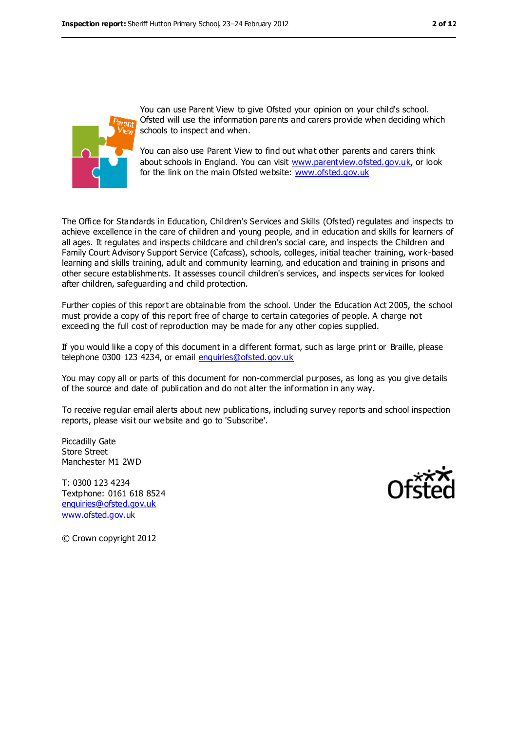

You can use Parent View to give Ofsted your opinion on your child's school. Ofsted will use the information parents and carers provide when deciding which schools to inspect and when.

You can also use Parent View to find out what other parents and carers think about schools in England. You can visit [www.parentview.ofsted.gov.uk,](www.parentview.ofsted.gov.uk) or look for the link on the main Ofsted website:<www.ofsted.gov.uk>

The Office for Standards in Education, Children's Services and Skills (Ofsted) regulates and inspects to achieve excellence in the care of children and young people, and in education and skills for learners of all ages. It regulates and inspects childcare and children's social care, and inspects the Children and Family Court Advisory Support Service (Cafcass), schools, colleges, initial teacher training, work-based learning and skills training, adult and community learning, and education and training in prisons and other secure establishments. It assesses council children's services, and inspects services for looked after children, safeguarding and child protection.

Further copies of this report are obtainable from the school. Under the Education Act 2005, the school must provide a copy of this report free of charge to certain categories of people. A charge not exceeding the full cost of reproduction may be made for any other copies supplied.

If you would like a copy of this document in a different format, such as large print or Braille, please telephone 0300 123 4234, or email [enquiries@ofsted.gov.uk](mailto:enquiries@ofsted.gov.uk)

You may copy all or parts of this document for non-commercial purposes, as long as you give details of the source and date of publication and do not alter the information in any way.

To receive regular email alerts about new publications, including survey reports and school inspection reports, please visit our website and go to 'Subscribe'.

Piccadilly Gate Store Street Manchester M1 2WD

T: 0300 123 4234 Textphone: 0161 618 8524 [enquiries@ofsted.gov.uk](mailto:enquiries@ofsted.gov.uk) [www.ofsted.gov.uk](http://www.ofsted.gov.uk/)



© Crown copyright 2012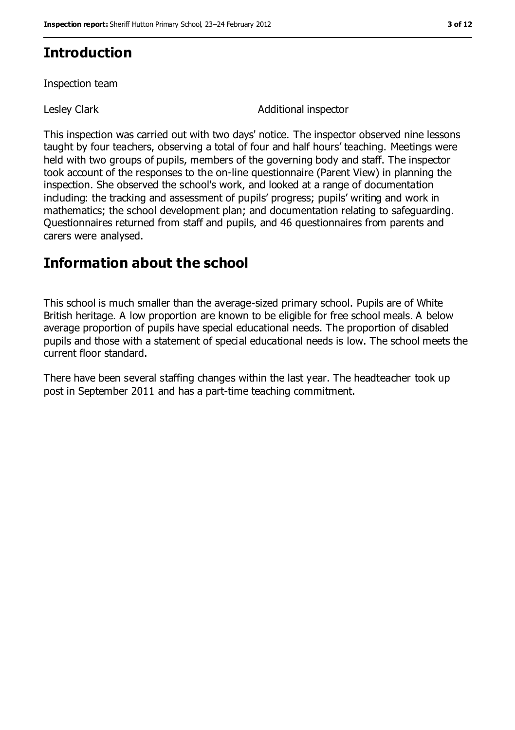# **Introduction**

Inspection team

Lesley Clark **Additional inspector** 

This inspection was carried out with two days' notice. The inspector observed nine lessons taught by four teachers, observing a total of four and half hours' teaching. Meetings were held with two groups of pupils, members of the governing body and staff. The inspector took account of the responses to the on-line questionnaire (Parent View) in planning the inspection. She observed the school's work, and looked at a range of documentation including: the tracking and assessment of pupils' progress; pupils' writing and work in mathematics; the school development plan; and documentation relating to safeguarding. Questionnaires returned from staff and pupils, and 46 questionnaires from parents and carers were analysed.

## **Information about the school**

This school is much smaller than the average-sized primary school. Pupils are of White British heritage. A low proportion are known to be eligible for free school meals. A below average proportion of pupils have special educational needs. The proportion of disabled pupils and those with a statement of special educational needs is low. The school meets the current floor standard.

There have been several staffing changes within the last year. The headteacher took up post in September 2011 and has a part-time teaching commitment.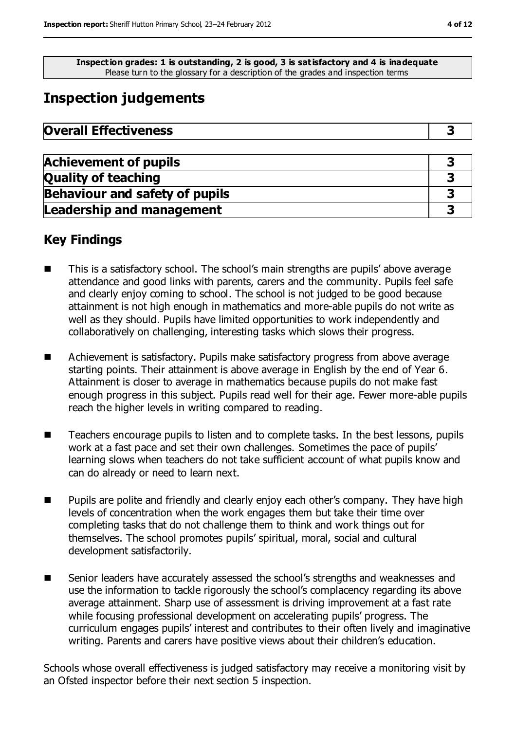**Inspection grades: 1 is outstanding, 2 is good, 3 is satisfactory and 4 is inadequate** Please turn to the glossary for a description of the grades and inspection terms

# **Inspection judgements**

| <b>Overall Effectiveness</b> |  |
|------------------------------|--|
|------------------------------|--|

| <b>Achievement of pupils</b>          |  |
|---------------------------------------|--|
| <b>Quality of teaching</b>            |  |
| <b>Behaviour and safety of pupils</b> |  |
| <b>Leadership and management</b>      |  |

## **Key Findings**

- This is a satisfactory school. The school's main strengths are pupils' above average attendance and good links with parents, carers and the community. Pupils feel safe and clearly enjoy coming to school. The school is not judged to be good because attainment is not high enough in mathematics and more-able pupils do not write as well as they should. Pupils have limited opportunities to work independently and collaboratively on challenging, interesting tasks which slows their progress.
- Achievement is satisfactory. Pupils make satisfactory progress from above average starting points. Their attainment is above average in English by the end of Year 6. Attainment is closer to average in mathematics because pupils do not make fast enough progress in this subject. Pupils read well for their age. Fewer more-able pupils reach the higher levels in writing compared to reading.
- Teachers encourage pupils to listen and to complete tasks. In the best lessons, pupils work at a fast pace and set their own challenges. Sometimes the pace of pupils' learning slows when teachers do not take sufficient account of what pupils know and can do already or need to learn next.
- Pupils are polite and friendly and clearly enjoy each other's company. They have high levels of concentration when the work engages them but take their time over completing tasks that do not challenge them to think and work things out for themselves. The school promotes pupils' spiritual, moral, social and cultural development satisfactorily.
- Senior leaders have accurately assessed the school's strengths and weaknesses and use the information to tackle rigorously the school's complacency regarding its above average attainment. Sharp use of assessment is driving improvement at a fast rate while focusing professional development on accelerating pupils' progress. The curriculum engages pupils' interest and contributes to their often lively and imaginative writing. Parents and carers have positive views about their children's education.

Schools whose overall effectiveness is judged satisfactory may receive a monitoring visit by an Ofsted inspector before their next section 5 inspection.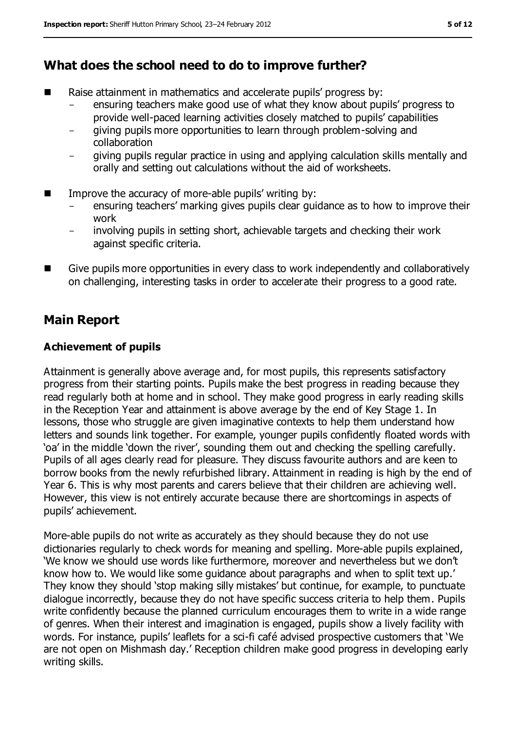## **What does the school need to do to improve further?**

- Raise attainment in mathematics and accelerate pupils' progress by:
	- ensuring teachers make good use of what they know about pupils' progress to provide well-paced learning activities closely matched to pupils' capabilities
	- giving pupils more opportunities to learn through problem-solving and collaboration
	- giving pupils regular practice in using and applying calculation skills mentally and orally and setting out calculations without the aid of worksheets.
- $\blacksquare$  Improve the accuracy of more-able pupils' writing by:
	- ensuring teachers' marking gives pupils clear guidance as to how to improve their work
	- involving pupils in setting short, achievable targets and checking their work against specific criteria.
- **Give pupils more opportunities in every class to work independently and collaboratively** on challenging, interesting tasks in order to accelerate their progress to a good rate.

## **Main Report**

#### **Achievement of pupils**

Attainment is generally above average and, for most pupils, this represents satisfactory progress from their starting points. Pupils make the best progress in reading because they read regularly both at home and in school. They make good progress in early reading skills in the Reception Year and attainment is above average by the end of Key Stage 1. In lessons, those who struggle are given imaginative contexts to help them understand how letters and sounds link together. For example, younger pupils confidently floated words with 'oa' in the middle 'down the river', sounding them out and checking the spelling carefully. Pupils of all ages clearly read for pleasure. They discuss favourite authors and are keen to borrow books from the newly refurbished library. Attainment in reading is high by the end of Year 6. This is why most parents and carers believe that their children are achieving well. However, this view is not entirely accurate because there are shortcomings in aspects of pupils' achievement.

More-able pupils do not write as accurately as they should because they do not use dictionaries regularly to check words for meaning and spelling. More-able pupils explained, 'We know we should use words like furthermore, moreover and nevertheless but we don't know how to. We would like some guidance about paragraphs and when to split text up.' They know they should 'stop making silly mistakes' but continue, for example, to punctuate dialogue incorrectly, because they do not have specific success criteria to help them. Pupils write confidently because the planned curriculum encourages them to write in a wide range of genres. When their interest and imagination is engaged, pupils show a lively facility with words. For instance, pupils' leaflets for a sci-fi café advised prospective customers that 'We are not open on Mishmash day.' Reception children make good progress in developing early writing skills.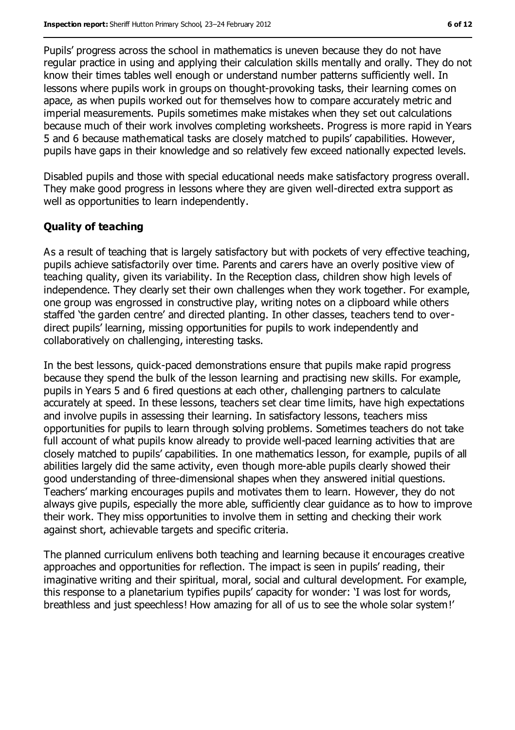Pupils' progress across the school in mathematics is uneven because they do not have regular practice in using and applying their calculation skills mentally and orally. They do not know their times tables well enough or understand number patterns sufficiently well. In lessons where pupils work in groups on thought-provoking tasks, their learning comes on apace, as when pupils worked out for themselves how to compare accurately metric and imperial measurements. Pupils sometimes make mistakes when they set out calculations because much of their work involves completing worksheets. Progress is more rapid in Years 5 and 6 because mathematical tasks are closely matched to pupils' capabilities. However, pupils have gaps in their knowledge and so relatively few exceed nationally expected levels.

Disabled pupils and those with special educational needs make satisfactory progress overall. They make good progress in lessons where they are given well-directed extra support as well as opportunities to learn independently.

#### **Quality of teaching**

As a result of teaching that is largely satisfactory but with pockets of very effective teaching, pupils achieve satisfactorily over time. Parents and carers have an overly positive view of teaching quality, given its variability. In the Reception class, children show high levels of independence. They clearly set their own challenges when they work together. For example, one group was engrossed in constructive play, writing notes on a clipboard while others staffed 'the garden centre' and directed planting. In other classes, teachers tend to overdirect pupils' learning, missing opportunities for pupils to work independently and collaboratively on challenging, interesting tasks.

In the best lessons, quick-paced demonstrations ensure that pupils make rapid progress because they spend the bulk of the lesson learning and practising new skills. For example, pupils in Years 5 and 6 fired questions at each other, challenging partners to calculate accurately at speed. In these lessons, teachers set clear time limits, have high expectations and involve pupils in assessing their learning. In satisfactory lessons, teachers miss opportunities for pupils to learn through solving problems. Sometimes teachers do not take full account of what pupils know already to provide well-paced learning activities that are closely matched to pupils' capabilities. In one mathematics lesson, for example, pupils of all abilities largely did the same activity, even though more-able pupils clearly showed their good understanding of three-dimensional shapes when they answered initial questions. Teachers' marking encourages pupils and motivates them to learn. However, they do not always give pupils, especially the more able, sufficiently clear guidance as to how to improve their work. They miss opportunities to involve them in setting and checking their work against short, achievable targets and specific criteria.

The planned curriculum enlivens both teaching and learning because it encourages creative approaches and opportunities for reflection. The impact is seen in pupils' reading, their imaginative writing and their spiritual, moral, social and cultural development. For example, this response to a planetarium typifies pupils' capacity for wonder: 'I was lost for words, breathless and just speechless! How amazing for all of us to see the whole solar system!'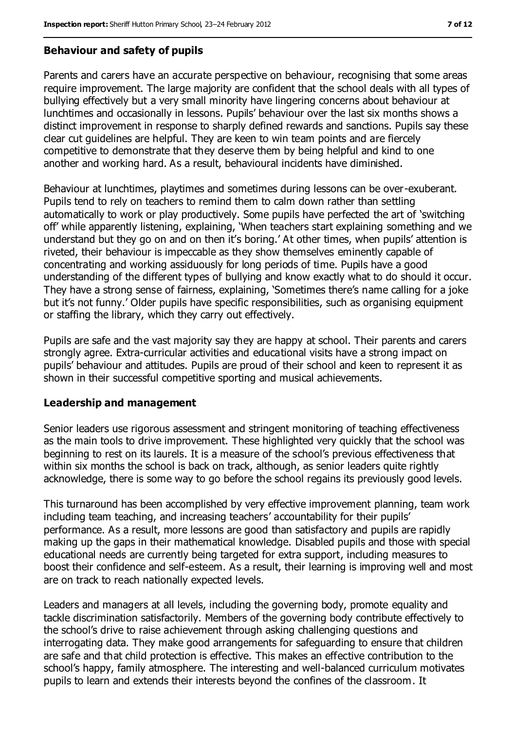#### **Behaviour and safety of pupils**

Parents and carers have an accurate perspective on behaviour, recognising that some areas require improvement. The large majority are confident that the school deals with all types of bullying effectively but a very small minority have lingering concerns about behaviour at lunchtimes and occasionally in lessons. Pupils' behaviour over the last six months shows a distinct improvement in response to sharply defined rewards and sanctions. Pupils say these clear cut guidelines are helpful. They are keen to win team points and are fiercely competitive to demonstrate that they deserve them by being helpful and kind to one another and working hard. As a result, behavioural incidents have diminished.

Behaviour at lunchtimes, playtimes and sometimes during lessons can be over-exuberant. Pupils tend to rely on teachers to remind them to calm down rather than settling automatically to work or play productively. Some pupils have perfected the art of 'switching off' while apparently listening, explaining, 'When teachers start explaining something and we understand but they go on and on then it's boring.' At other times, when pupils' attention is riveted, their behaviour is impeccable as they show themselves eminently capable of concentrating and working assiduously for long periods of time. Pupils have a good understanding of the different types of bullying and know exactly what to do should it occur. They have a strong sense of fairness, explaining, 'Sometimes there's name calling for a joke but it's not funny.' Older pupils have specific responsibilities, such as organising equipment or staffing the library, which they carry out effectively.

Pupils are safe and the vast majority say they are happy at school. Their parents and carers strongly agree. Extra-curricular activities and educational visits have a strong impact on pupils' behaviour and attitudes. Pupils are proud of their school and keen to represent it as shown in their successful competitive sporting and musical achievements.

#### **Leadership and management**

Senior leaders use rigorous assessment and stringent monitoring of teaching effectiveness as the main tools to drive improvement. These highlighted very quickly that the school was beginning to rest on its laurels. It is a measure of the school's previous effectiveness that within six months the school is back on track, although, as senior leaders quite rightly acknowledge, there is some way to go before the school regains its previously good levels.

This turnaround has been accomplished by very effective improvement planning, team work including team teaching, and increasing teachers' accountability for their pupils' performance. As a result, more lessons are good than satisfactory and pupils are rapidly making up the gaps in their mathematical knowledge. Disabled pupils and those with special educational needs are currently being targeted for extra support, including measures to boost their confidence and self-esteem. As a result, their learning is improving well and most are on track to reach nationally expected levels.

Leaders and managers at all levels, including the governing body, promote equality and tackle discrimination satisfactorily. Members of the governing body contribute effectively to the school's drive to raise achievement through asking challenging questions and interrogating data. They make good arrangements for safeguarding to ensure that children are safe and that child protection is effective. This makes an effective contribution to the school's happy, family atmosphere. The interesting and well-balanced curriculum motivates pupils to learn and extends their interests beyond the confines of the classroom. It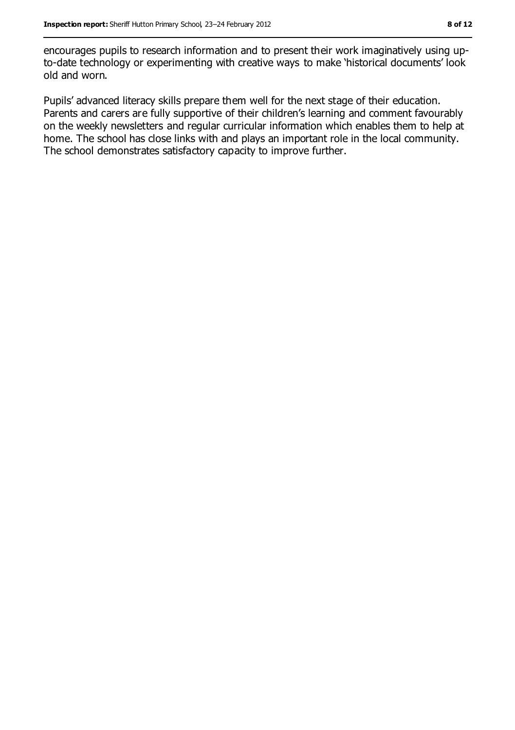encourages pupils to research information and to present their work imaginatively using upto-date technology or experimenting with creative ways to make 'historical documents' look old and worn.

Pupils' advanced literacy skills prepare them well for the next stage of their education. Parents and carers are fully supportive of their children's learning and comment favourably on the weekly newsletters and regular curricular information which enables them to help at home. The school has close links with and plays an important role in the local community. The school demonstrates satisfactory capacity to improve further.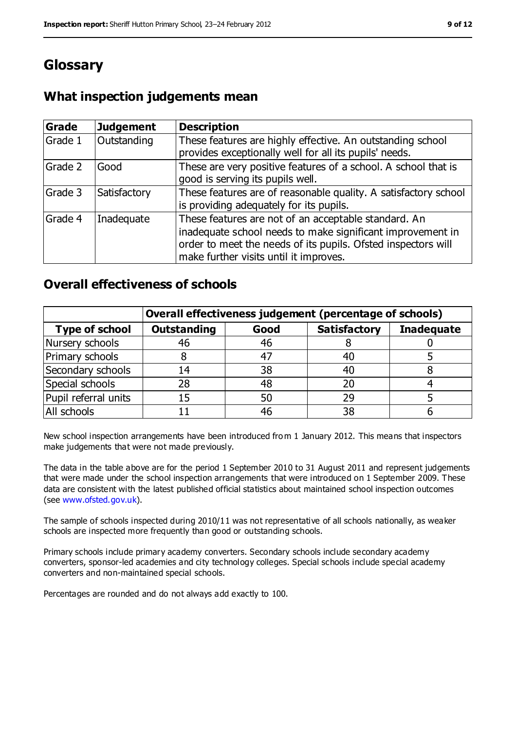# **Glossary**

## **What inspection judgements mean**

| <b>Grade</b> | <b>Judgement</b> | <b>Description</b>                                                                                                                                                                                                            |
|--------------|------------------|-------------------------------------------------------------------------------------------------------------------------------------------------------------------------------------------------------------------------------|
| Grade 1      | Outstanding      | These features are highly effective. An outstanding school<br>provides exceptionally well for all its pupils' needs.                                                                                                          |
| Grade 2      | Good             | These are very positive features of a school. A school that is<br>good is serving its pupils well.                                                                                                                            |
| Grade 3      | Satisfactory     | These features are of reasonable quality. A satisfactory school<br>is providing adequately for its pupils.                                                                                                                    |
| Grade 4      | Inadequate       | These features are not of an acceptable standard. An<br>inadequate school needs to make significant improvement in<br>order to meet the needs of its pupils. Ofsted inspectors will<br>make further visits until it improves. |

### **Overall effectiveness of schools**

|                       | Overall effectiveness judgement (percentage of schools) |      |                     |                   |
|-----------------------|---------------------------------------------------------|------|---------------------|-------------------|
| <b>Type of school</b> | <b>Outstanding</b>                                      | Good | <b>Satisfactory</b> | <b>Inadequate</b> |
| Nursery schools       | 46                                                      | 46   |                     |                   |
| Primary schools       |                                                         | 47   | 40                  |                   |
| Secondary schools     | 14                                                      | 38   | 40                  |                   |
| Special schools       | 28                                                      | 48   | 20                  |                   |
| Pupil referral units  | 15                                                      | 50   | 29                  |                   |
| All schools           |                                                         | 46   | 38                  |                   |

New school inspection arrangements have been introduced from 1 January 2012. This means that inspectors make judgements that were not made previously.

The data in the table above are for the period 1 September 2010 to 31 August 2011 and represent judgements that were made under the school inspection arrangements that were introduced on 1 September 2009. These data are consistent with the latest published official statistics about maintained school inspection outcomes (see [www.ofsted.gov.uk\)](www.ofsted.gov.uk).

The sample of schools inspected during 2010/11 was not representative of all schools nationally, as weaker schools are inspected more frequently than good or outstanding schools.

Primary schools include primary academy converters. Secondary schools include secondary academy converters, sponsor-led academies and city technology colleges. Special schools include special academy converters and non-maintained special schools.

Percentages are rounded and do not always add exactly to 100.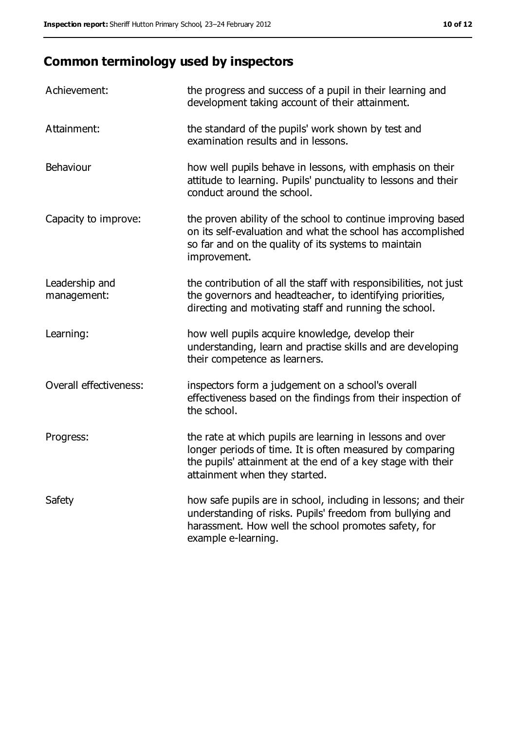# **Common terminology used by inspectors**

| Achievement:                  | the progress and success of a pupil in their learning and<br>development taking account of their attainment.                                                                                                           |
|-------------------------------|------------------------------------------------------------------------------------------------------------------------------------------------------------------------------------------------------------------------|
| Attainment:                   | the standard of the pupils' work shown by test and<br>examination results and in lessons.                                                                                                                              |
| Behaviour                     | how well pupils behave in lessons, with emphasis on their<br>attitude to learning. Pupils' punctuality to lessons and their<br>conduct around the school.                                                              |
| Capacity to improve:          | the proven ability of the school to continue improving based<br>on its self-evaluation and what the school has accomplished<br>so far and on the quality of its systems to maintain<br>improvement.                    |
| Leadership and<br>management: | the contribution of all the staff with responsibilities, not just<br>the governors and headteacher, to identifying priorities,<br>directing and motivating staff and running the school.                               |
| Learning:                     | how well pupils acquire knowledge, develop their<br>understanding, learn and practise skills and are developing<br>their competence as learners.                                                                       |
| Overall effectiveness:        | inspectors form a judgement on a school's overall<br>effectiveness based on the findings from their inspection of<br>the school.                                                                                       |
| Progress:                     | the rate at which pupils are learning in lessons and over<br>longer periods of time. It is often measured by comparing<br>the pupils' attainment at the end of a key stage with their<br>attainment when they started. |
| Safety                        | how safe pupils are in school, including in lessons; and their<br>understanding of risks. Pupils' freedom from bullying and<br>harassment. How well the school promotes safety, for<br>example e-learning.             |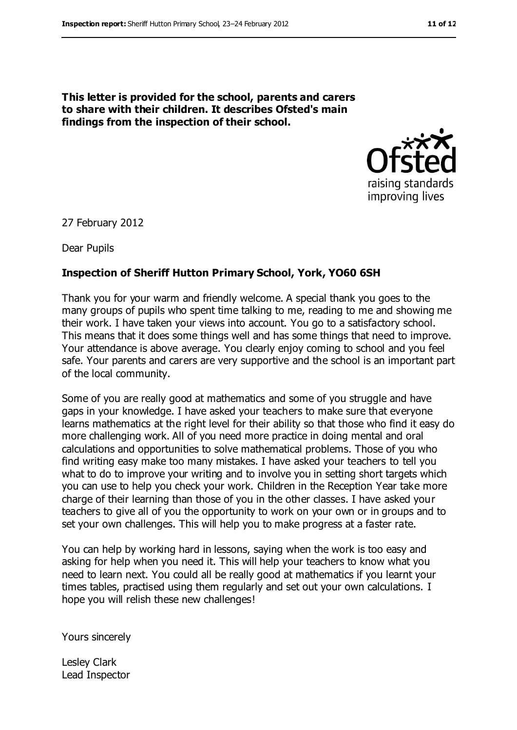**This letter is provided for the school, parents and carers to share with their children. It describes Ofsted's main findings from the inspection of their school.**



27 February 2012

Dear Pupils

#### **Inspection of Sheriff Hutton Primary School, York, YO60 6SH**

Thank you for your warm and friendly welcome. A special thank you goes to the many groups of pupils who spent time talking to me, reading to me and showing me their work. I have taken your views into account. You go to a satisfactory school. This means that it does some things well and has some things that need to improve. Your attendance is above average. You clearly enjoy coming to school and you feel safe. Your parents and carers are very supportive and the school is an important part of the local community.

Some of you are really good at mathematics and some of you struggle and have gaps in your knowledge. I have asked your teachers to make sure that everyone learns mathematics at the right level for their ability so that those who find it easy do more challenging work. All of you need more practice in doing mental and oral calculations and opportunities to solve mathematical problems. Those of you who find writing easy make too many mistakes. I have asked your teachers to tell you what to do to improve your writing and to involve you in setting short targets which you can use to help you check your work. Children in the Reception Year take more charge of their learning than those of you in the other classes. I have asked your teachers to give all of you the opportunity to work on your own or in groups and to set your own challenges. This will help you to make progress at a faster rate.

You can help by working hard in lessons, saying when the work is too easy and asking for help when you need it. This will help your teachers to know what you need to learn next. You could all be really good at mathematics if you learnt your times tables, practised using them regularly and set out your own calculations. I hope you will relish these new challenges!

Yours sincerely

Lesley Clark Lead Inspector